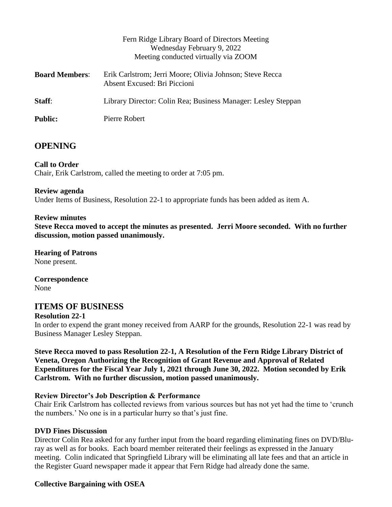|                       | Fern Ridge Library Board of Directors Meeting<br>Wednesday February 9, 2022<br>Meeting conducted virtually via ZOOM |
|-----------------------|---------------------------------------------------------------------------------------------------------------------|
| <b>Board Members:</b> | Erik Carlstrom; Jerri Moore; Olivia Johnson; Steve Recca<br>Absent Excused: Bri Piccioni                            |
| Staff:                | Library Director: Colin Rea; Business Manager: Lesley Steppan                                                       |
| <b>Public:</b>        | Pierre Robert                                                                                                       |

## **OPENING**

## **Call to Order**

Chair, Erik Carlstrom, called the meeting to order at 7:05 pm.

#### **Review agenda**

Under Items of Business, Resolution 22-1 to appropriate funds has been added as item A.

#### **Review minutes**

**Steve Recca moved to accept the minutes as presented. Jerri Moore seconded. With no further discussion, motion passed unanimously.**

**Hearing of Patrons** None present.

**Correspondence** None

## **ITEMS OF BUSINESS**

#### **Resolution 22-1**

In order to expend the grant money received from AARP for the grounds, Resolution 22-1 was read by Business Manager Lesley Steppan.

**Steve Recca moved to pass Resolution 22-1, A Resolution of the Fern Ridge Library District of Veneta, Oregon Authorizing the Recognition of Grant Revenue and Approval of Related Expenditures for the Fiscal Year July 1, 2021 through June 30, 2022. Motion seconded by Erik Carlstrom. With no further discussion, motion passed unanimously.**

#### **Review Director's Job Description & Performance**

Chair Erik Carlstrom has collected reviews from various sources but has not yet had the time to 'crunch the numbers.' No one is in a particular hurry so that's just fine.

#### **DVD Fines Discussion**

Director Colin Rea asked for any further input from the board regarding eliminating fines on DVD/Bluray as well as for books. Each board member reiterated their feelings as expressed in the January meeting. Colin indicated that Springfield Library will be eliminating all late fees and that an article in the Register Guard newspaper made it appear that Fern Ridge had already done the same.

#### **Collective Bargaining with OSEA**